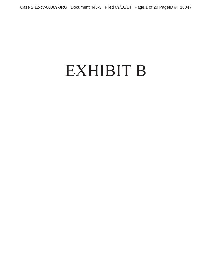## EXHIBIT B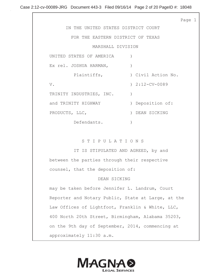Page 1

 IN THE UNITED STATES DISTRICT COURT FOR THE EASTERN DISTRICT OF TEXAS MARSHALL DIVISION UNITED STATES OF AMERICA ) Ex rel. JOSHUA HARMAN,  $\qquad \qquad$  ) Plaintiffs,  $\qquad \qquad$  ) Civil Action No. V. 2:12-CV-0089 TRINITY INDUSTRIES, INC. and TRINITY HIGHWAY (and TRINITY HIGHWAY ) Deposition of: PRODUCTS, LLC,  $\qquad \qquad$  ) DEAN SICKING Defendants. )

S T I P U L A T I O N S

IT IS STIPULATED AND AGREED, by and between the parties through their respective counsel, that the deposition of:

## DEAN SICKING

may be taken before Jennifer L. Landrum, Court Reporter and Notary Public, State at Large, at the Law Offices of Lightfoot, Franklin & White, LLC, 400 North 20th Street, Birmingham, Alabama 35203, on the 9th day of September, 2014, commencing at approximately 11:30 a.m.

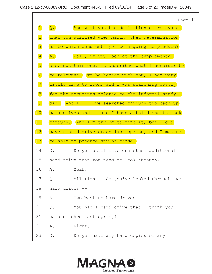

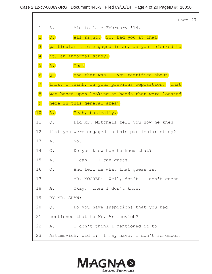

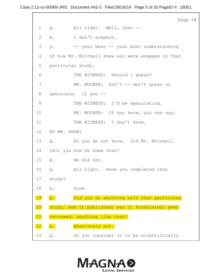Page 28 1 Q. All right. Well, then -- 2 A. I don't suspect. 3 Q. -- your best -- your best understanding 4 of how Mr. Mitchell knew you were engaged in that 5 particular study. 6 THE WITNESS: Should I guess? 7 MR. MOORER: Don't -- don't guess or 8 speculate. If you -- 9 THE WITNESS: I'd be speculating. 10 MR. MOORER: If you know, you can say. 11 THE WITNESS: I don't know. 12 BY MR. SHAW: 13 Q. So you do not know. Did Mr. Mitchell 14 tell you how he knew that? 15 A. He did not. 16 Q. All right. Have you completed that 17 study? 18 A. Sure. 19 Q. Did you do anything with that particular study, was it published; was it formulated; peer reviewed, anything like that? A. Absolutely not. 23 Q. Do you consider it to be scientifically 20 21 22

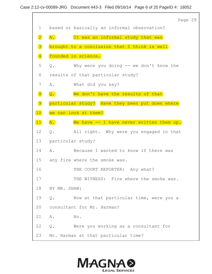|                              |                 |                                                 | Page 29 |  |
|------------------------------|-----------------|-------------------------------------------------|---------|--|
| $\mathbf 1$                  |                 | based or basically an informal observation?     |         |  |
| $\boxed{2}$                  | A.              | It was an informal study that was               |         |  |
| 3                            |                 | brought to a conclusion that I think is well    |         |  |
| $\left  \frac{4}{2} \right $ |                 | founded in science.                             |         |  |
| 5                            | $Q_{\bullet}$   | Why were you doing -- we don't know the         |         |  |
| 6                            |                 | results of that particular study?               |         |  |
| 7                            | Α.              | What did you say?                               |         |  |
| 8                            | $Q$ .           | We don't have the results of that               |         |  |
| 9                            |                 | particular study? Have they been put down where |         |  |
| 10                           |                 | we can look at them?                            |         |  |
| 11                           | $\overline{A.}$ | We have -- I have never written them up.        |         |  |
| 12 <sup>°</sup>              | Q.              | All right. Why were you engaged in that         |         |  |
| 13                           |                 | particular study?                               |         |  |
| 14                           |                 | A. Because I wanted to know if there was        |         |  |
| 15                           |                 | any fire where the smoke was.                   |         |  |
| 16                           |                 | THE COURT REPORTER: Any what?                   |         |  |
| 17                           |                 | THE WITNESS: Fire where the smoke was.          |         |  |
| 18                           | BY MR. SHAW:    |                                                 |         |  |
| 19                           | Q.              | Now at that particular time, were you a         |         |  |
| 20                           |                 | consultant for Mr. Harman?                      |         |  |
| 21                           | Α.              | No.                                             |         |  |
| 22                           | Q.              | Were you working as a consultant for            |         |  |
| 23                           |                 | Mr. Harman at that particular time?             |         |  |

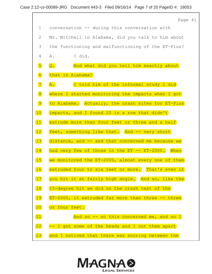

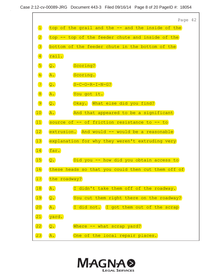

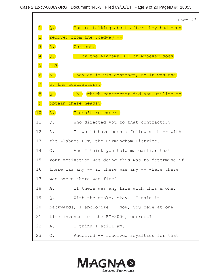

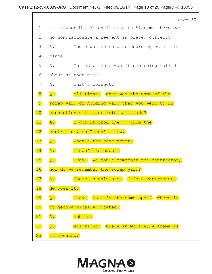|              | Page 57                                                    |
|--------------|------------------------------------------------------------|
| $\mathbf 1$  | is is when Mr. Mitchell came to Alabama there was          |
| $\mathbf{2}$ | no nondisclosure agreement in place, correct?              |
| 3            | There was no nondisclosure agreement in<br>Α.              |
| 4            | place.                                                     |
| 5            | Q. In fact, there wasn't one being talked                  |
| 6            | about at that time?                                        |
| 7            | Α.<br>That's correct.                                      |
| 8            | All right. What was the name of the<br>$\overline{Q}$ .    |
| 9            | scrap yard or holding yard that you went to in             |
| 10           | connection with your informal study?                       |
| $\boxed{11}$ | I got it from the -- from the<br>$\overline{A}$ .          |
| $\boxed{12}$ | contractor, so I don't know.                               |
| 13           | $\overline{Q}$ .<br>What's the contractor?                 |
| 14           | $\overline{A.}$<br>I don't remember.                       |
| 15           | Okay. We don't remember the contractor,<br>$Q$ .           |
| 16           | nor do we remember the scrap yard?                         |
| $\boxed{17}$ | There is only one. It's a contractor.<br>A.                |
| 18           | He does it.                                                |
| 19           | Okay. So it's the same spot? Where is<br>$\overline{Q}$ .  |
| 20           | it geographically located?                                 |
| $\boxed{21}$ | A.<br>Mobile.                                              |
| $\boxed{22}$ | $\overline{Q}$ .<br>All right. Where in Mobile, Alabama is |
| 23           | it located?                                                |

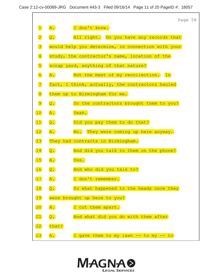

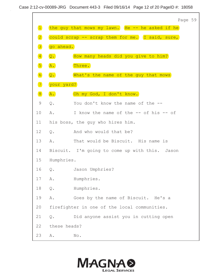

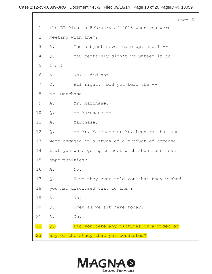|             |                 |                                                 | Page 61 |  |
|-------------|-----------------|-------------------------------------------------|---------|--|
| $\mathbf 1$ |                 | the ET-Plus in February of 2013 when you were   |         |  |
| 2           |                 | meeting with them?                              |         |  |
| 3           | Α.              | The subject never came up, and $I$ --           |         |  |
| 4           | Q.              | You certainly didn't volunteer it to            |         |  |
| 5           | them?           |                                                 |         |  |
| 6           | Α.              | No, I did not.                                  |         |  |
| 7           | Q.              | All right. Did you tell the --                  |         |  |
| 8           | Mr. Marchase -- |                                                 |         |  |
| 9           | Α.              | Mr. Marchase.                                   |         |  |
| 10          | Q.              | -- Marchase --                                  |         |  |
| 11          | Α.              | Marchase.                                       |         |  |
| 12          | $Q$ .           | -- Mr. Marchase or Mr. Leonard that you         |         |  |
| 13          |                 | were engaged in a study of a product of someone |         |  |
| 14          |                 | that you were going to meet with about business |         |  |
| 15          | opportunities?  |                                                 |         |  |
| 16          | Α.              | No.                                             |         |  |
| 17          | $Q$ .           | Have they ever told you that they wished        |         |  |
| 18          |                 | you had disclosed that to them?                 |         |  |
| 19          | Α.              | No.                                             |         |  |
| 20          | $\mathsf{Q}$ .  | Even as we sit here today?                      |         |  |
| 21          | Α.              | No.                                             |         |  |
| 22          | $Q$ .           | Did you take any pictures or a video of         |         |  |
| 23          |                 | any of the study that you conducted?            |         |  |

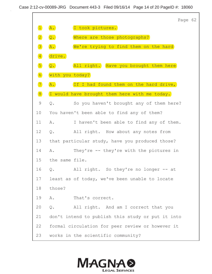Page 62 A. I took pictures. 2 Q. Where are those photographs? 3 **A.** We're trying to find them on the hard drive. 5 **Q.** All right. Have you brought them here with you today? 7 (A. If I had found them on the hard drive, 8 I would have brought them here with me today. 9 Q. So you haven't brought any of them here? 10 You haven't been able to find any of them? 11 A. I haven't been able to find any of them. 12 Q. All right. How about any notes from 13 that particular study, have you produced those? 14 A. They're -- they're with the pictures in 15 the same file. 16 Q. All right. So they're no longer -- at 17 least as of today, we've been unable to locate 18 those? 19 A. That's correct. 20 Q. All right. And am I correct that you 21 don't intend to publish this study or put it into 22 formal circulation for peer review or however it 23 works in the scientific community? 4 6 9. (Where are those photographs)<br>
3 2. (We're trying to find them of<br>
4 2. (All right. (Have you brough<br>
6 2. (All right. (Have you brough<br>
6 2. (If I had found them on the 1 2. (Upd.)<br>
8 2. (If I had found them on the 1 2  $\blacksquare$ 

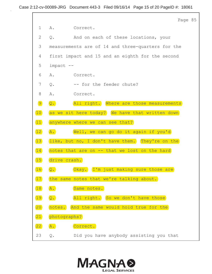|              |                  | Page 85                                           |
|--------------|------------------|---------------------------------------------------|
| $\mathbf 1$  |                  | A. Correct.                                       |
| 2            | Q.               | And on each of these locations, your              |
| 3            |                  | measurements are of 14 and three-quarters for the |
| 4            |                  | first impact and 15 and an eighth for the second  |
| 5            | impact --        |                                                   |
| 6            | Α.               | Correct.                                          |
| 7            | Q.               | -- for the feeder chute?                          |
| $8\,$        | Α.               | Correct.                                          |
| 9            | $\overline{Q}$ . | All right. Where are those measurements           |
| 10           |                  | as we sit here today? We have that written down   |
| $\boxed{11}$ |                  | anywhere where we can see that?                   |
| 12           | A.               | Well, we can go do it again if you'd              |
| 13           |                  | like, but no, I don't have them. They're on the   |
| 14           |                  | notes that are on -- that we lost on the hard     |
| 15           | drive crash.     |                                                   |
| 16           | $Q$ .            | Okay. I'm just making sure those are              |
| 17           | the              | same notes that we're talking about.              |
| 18           | A.               | Same notes.                                       |
| 19           | $\overline{Q}$ . | All right. So we don't have those                 |
| 20           |                  | notes. And the same would hold true for the       |
| $\boxed{21}$ | photographs?     |                                                   |
| $\boxed{22}$ | $\overline{A}$ . | Correct.                                          |
| 23           | Q.               | Did you have anybody assisting you that           |

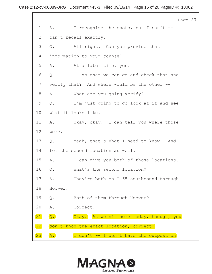Page 87 1 A. I recognize the spots, but I can't --2 can't recall exactly. 3 Q. All right. Can you provide that 4 information to your counsel -- 5 A. At a later time, yes. 6 Q. -- so that we can go and check that and 7 verify that? And where would be the other --8 A. What are you going verify? 9 Q. I'm just going to go look at it and see 10 what it looks like. 11 A. Okay, okay. I can tell you where those 12 were. 13 Q. Yeah, that's what I need to know. And 14 for the second location as well. 15 A. I can give you both of those locations. 16 Q. What's the second location? 17 A. They're both on I-65 southbound through 18 Hoover. 19 Q. Both of them through Hoover? 20 A. Correct. 21 Q. Okay. As we sit here today, though, you don't know the exact location, correct?  $\overline{A.}$   $\overline{I}$  don't  $\overline{I}$  don't have the outpost on 22 23

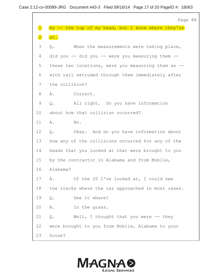|             | Page 88                                               |
|-------------|-------------------------------------------------------|
| $\boxed{1}$ | my -- the top of my head, but I know where they're    |
| $\boxed{2}$ | at.                                                   |
| 3           | Q.<br>When the measurements were taking place,        |
| 4           | did you -- did you -- were you measuring them --      |
| 5           | these two locations, were you measuring them as --    |
| 6           | with rail extruded through them immediately after     |
| 7           | the collision?                                        |
| 8           | Α.<br>Correct.                                        |
| 9           | All right. Do you have information<br>$Q$ .           |
| 10          | about how that collision occurred?                    |
| 11          | No.<br>Α.                                             |
| 12          | Okay. And do you have information about<br>$Q$ .      |
| 13          | how any of the collisions occurred for any of the     |
| 14          | heads that you looked at that were brought to you     |
| 15          | by the contractor in Alabama and from Mobile,         |
| 16          | Alabama?                                              |
| 17          | Of the 20 I've looked at, I could see<br>Α.           |
|             | 18 the tracks where the car approached in most cases. |
| 19          | See it where?<br>$Q$ .                                |
| 20          | Α.<br>In the grass.                                   |
| 21          | $Q$ .<br>Well, I thought that you were $-$ - they     |
| 22          | were brought to you from Mobile, Alabama to your      |
| 23          | house?                                                |

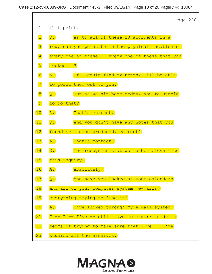

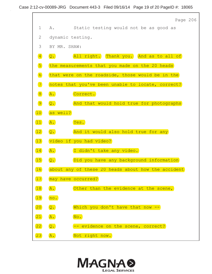